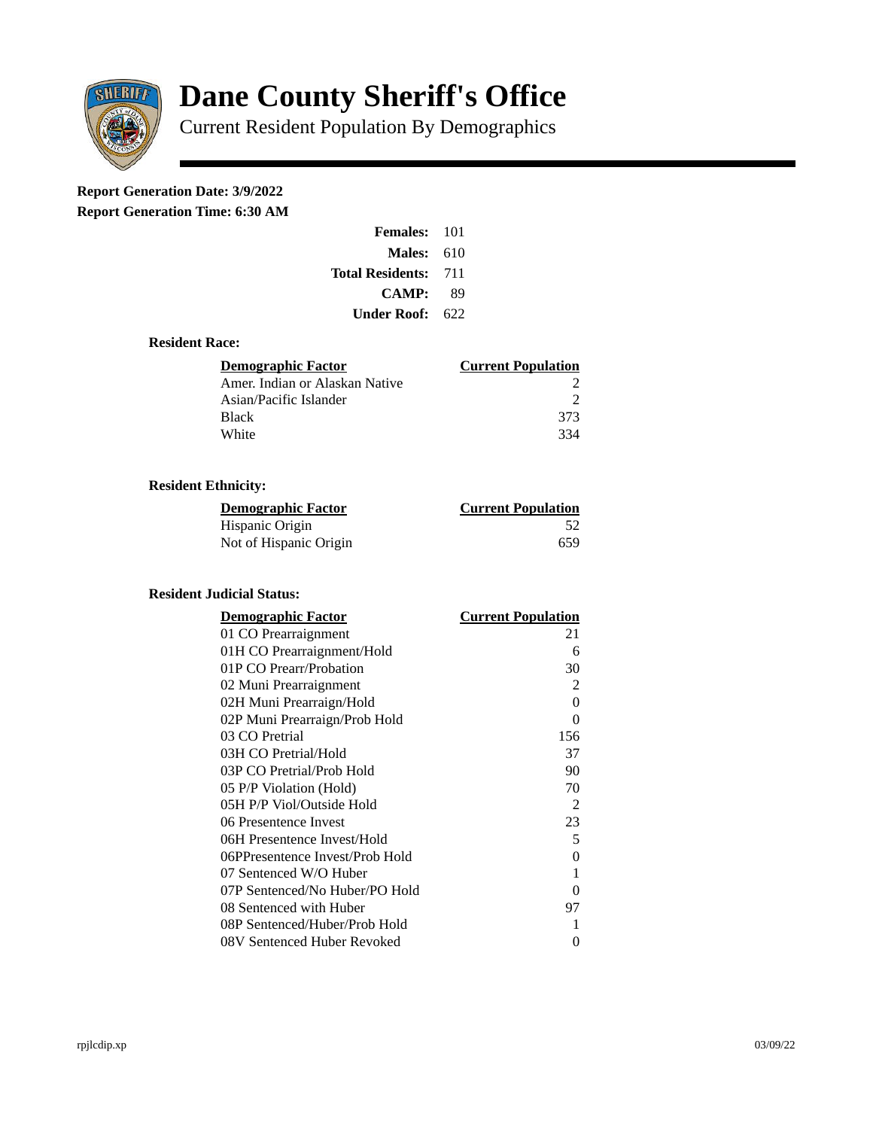

# **Dane County Sheriff's Office**

Current Resident Population By Demographics

# **Report Generation Date: 3/9/2022**

**Report Generation Time: 6:30 AM** 

| <b>Females: 101</b>     |       |
|-------------------------|-------|
| Males:                  | 610   |
| <b>Total Residents:</b> | - 711 |
| <b>CAMP:</b>            | 89    |
| Under Roof: \           | 622   |

### **Resident Race:**

| <b>Demographic Factor</b>      | <b>Current Population</b> |
|--------------------------------|---------------------------|
| Amer. Indian or Alaskan Native |                           |
| Asian/Pacific Islander         | ר                         |
| <b>Black</b>                   | 373                       |
| White                          | 334                       |

## **Resident Ethnicity:**

| <u>Demographic Factor</u> | <b>Current Population</b> |
|---------------------------|---------------------------|
| Hispanic Origin           | 52                        |
| Not of Hispanic Origin    | 659                       |

### **Resident Judicial Status:**

| <b>Demographic Factor</b>       | <b>Current Population</b> |
|---------------------------------|---------------------------|
| 01 CO Prearraignment            | 21                        |
| 01H CO Prearraignment/Hold      | 6                         |
| 01P CO Prearr/Probation         | 30                        |
| 02 Muni Prearraignment          | 2                         |
| 02H Muni Prearraign/Hold        | 0                         |
| 02P Muni Prearraign/Prob Hold   | 0                         |
| 03 CO Pretrial                  | 156                       |
| 03H CO Pretrial/Hold            | 37                        |
| 03P CO Pretrial/Prob Hold       | 90                        |
| 05 P/P Violation (Hold)         | 70                        |
| 05H P/P Viol/Outside Hold       | 2                         |
| 06 Presentence Invest           | 23                        |
| 06H Presentence Invest/Hold     | 5                         |
| 06PPresentence Invest/Prob Hold | 0                         |
| 07 Sentenced W/O Huber          | 1                         |
| 07P Sentenced/No Huber/PO Hold  | 0                         |
| 08 Sentenced with Huber         | 97                        |
| 08P Sentenced/Huber/Prob Hold   | 1                         |
| 08V Sentenced Huber Revoked     | 0                         |